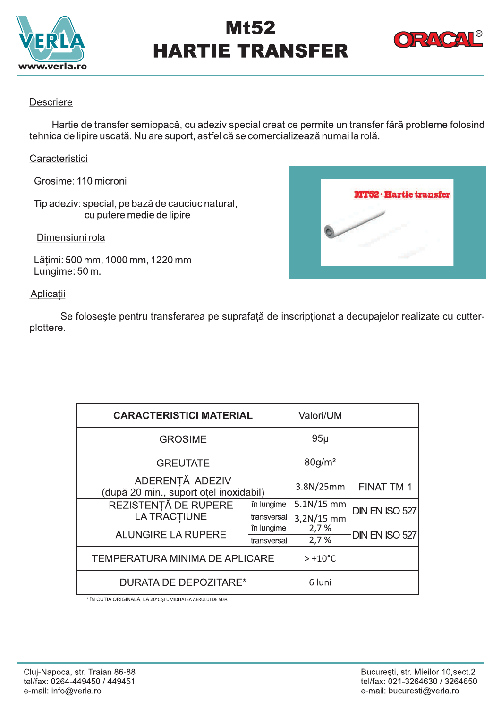

# Mt52 **HARTIE TRANSFER**



**MT52 · Hartie transfer** 

### **Descriere**

Hartie de transfer semiopacă, cu adeziv special creat ce permite un transfer fără probleme folosind tehnica de lipire uscată. Nu are suport, astfel că se comercializează numai la rolă.

# Caracteristici

Grosime: 110 microni

Tip adeziv: special, pe bază de cauciuc natural, cu putere medie de lipire

Dimensiuni rola

Lățimi: 500 mm, 1000 mm, 1220 mm Lungime: 50 m.

# Aplicatii

Se folosește pentru transferarea pe suprafață de inscripționat a decupajelor realizate cu cutterplottere.

| <b>CARACTERISTICI MATERIAL</b>                            |             | Valori/UM             |                |
|-----------------------------------------------------------|-------------|-----------------------|----------------|
| <b>GROSIME</b>                                            |             | $95\mu$               |                |
| <b>GREUTATE</b>                                           |             | $80$ g/m <sup>2</sup> |                |
| ADERENȚĂ ADEZIV<br>(după 20 min., suport oțel inoxidabil) |             | 3.8N/25mm             | FINAT TM 1     |
| REZISTENȚĂ DE RUPERE<br>LA TRACTIUNE                      | în lungime  | $5.1N/15$ mm          | DIN EN ISO 527 |
|                                                           | transversal | 3,2N/15 mm            |                |
| <b>ALUNGIRE LA RUPERE</b>                                 | în lungime  | 2,7%                  | DIN EN ISO 527 |
|                                                           | transversal | 2,7%                  |                |
| <b>TEMPERATURA MINIMA DE APLICARE</b>                     |             | $> +10^{\circ}$ C     |                |
| <b>DURATA DE DEPOZITARE*</b>                              |             | 6 luni                |                |

\* ÎN CUTIA ORIGINALĂ, LA 20°C ȘI UMIDITATEA AERULUI DE 50%